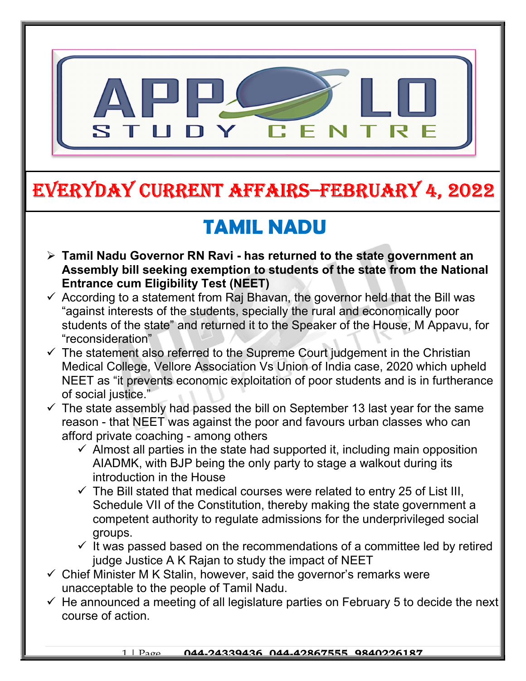

# EVERYDAY CURRENT AFFAIRS–FEBRUARY 4, 2022

# TAMIL NADU

-

- $\triangleright$  Tamil Nadu Governor RN Ravi has returned to the state government an Assembly bill seeking exemption to students of the state from the National Entrance cum Eligibility Test (NEET)
- $\checkmark$  According to a statement from Raj Bhavan, the governor held that the Bill was "against interests of the students, specially the rural and economically poor students of the state" and returned it to the Speaker of the House, M Appavu, for "reconsideration"
- $\checkmark$  The statement also referred to the Supreme Court judgement in the Christian Medical College, Vellore Association Vs Union of India case, 2020 which upheld NEET as "it prevents economic exploitation of poor students and is in furtherance of social justice."
- $\checkmark$  The state assembly had passed the bill on September 13 last year for the same reason - that NEET was against the poor and favours urban classes who can afford private coaching - among others
	- $\checkmark$  Almost all parties in the state had supported it, including main opposition AIADMK, with BJP being the only party to stage a walkout during its introduction in the House
	- $\checkmark$  The Bill stated that medical courses were related to entry 25 of List III, Schedule VII of the Constitution, thereby making the state government a competent authority to regulate admissions for the underprivileged social groups.
	- $\checkmark$  It was passed based on the recommendations of a committee led by retired judge Justice A K Rajan to study the impact of NEET
- $\checkmark$  Chief Minister M K Stalin, however, said the governor's remarks were unacceptable to the people of Tamil Nadu.
- $\checkmark$  He announced a meeting of all legislature parties on February 5 to decide the next course of action.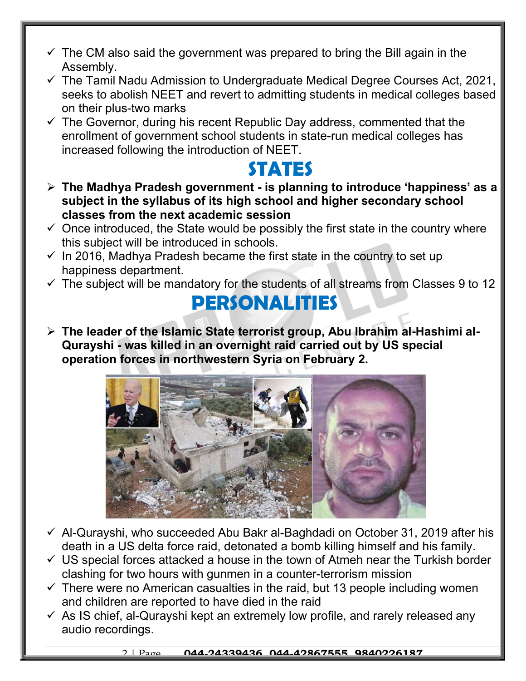- $\checkmark$  The CM also said the government was prepared to bring the Bill again in the Assembly.
- $\checkmark$  The Tamil Nadu Admission to Undergraduate Medical Degree Courses Act, 2021, seeks to abolish NEET and revert to admitting students in medical colleges based on their plus-two marks
- $\checkmark$  The Governor, during his recent Republic Day address, commented that the enrollment of government school students in state-run medical colleges has increased following the introduction of NEET.

### STATES

- $\triangleright$  The Madhya Pradesh government is planning to introduce 'happiness' as a subject in the syllabus of its high school and higher secondary school classes from the next academic session
- $\checkmark$  Once introduced, the State would be possibly the first state in the country where this subject will be introduced in schools.
- $\checkmark$  In 2016, Madhya Pradesh became the first state in the country to set up happiness department.
- $\checkmark$  The subject will be mandatory for the students of all streams from Classes 9 to 12

## **PERSONALITIES**

 The leader of the Islamic State terrorist group, Abu Ibrahim al-Hashimi al-Qurayshi - was killed in an overnight raid carried out by US special operation forces in northwestern Syria on February 2.



- $\checkmark$  Al-Qurayshi, who succeeded Abu Bakr al-Baghdadi on October 31, 2019 after his death in a US delta force raid, detonated a bomb killing himself and his family.
- $\checkmark$  US special forces attacked a house in the town of Atmeh near the Turkish border clashing for two hours with gunmen in a counter-terrorism mission
- $\checkmark$  There were no American casualties in the raid, but 13 people including women and children are reported to have died in the raid
- $\checkmark$  As IS chief, al-Qurayshi kept an extremely low profile, and rarely released any audio recordings.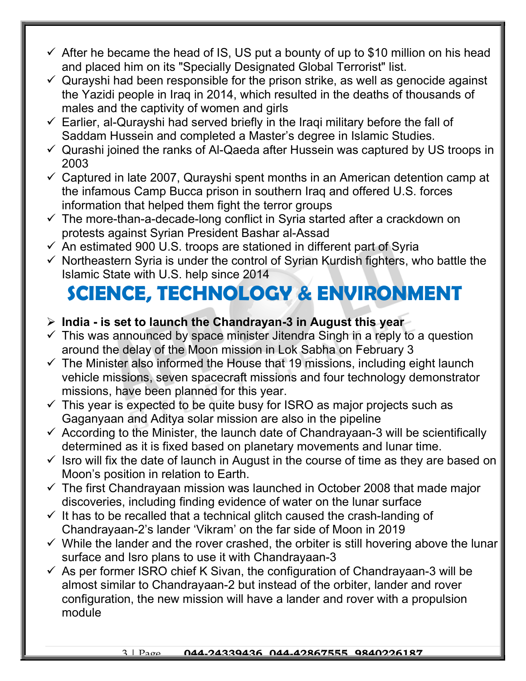- $\checkmark$  After he became the head of IS, US put a bounty of up to \$10 million on his head and placed him on its "Specially Designated Global Terrorist" list.
- $\checkmark$  Qurayshi had been responsible for the prison strike, as well as genocide against the Yazidi people in Iraq in 2014, which resulted in the deaths of thousands of males and the captivity of women and girls
- $\checkmark$  Earlier, al-Qurayshi had served briefly in the Iraqi military before the fall of Saddam Hussein and completed a Master's degree in Islamic Studies.
- $\checkmark$  Qurashi joined the ranks of Al-Qaeda after Hussein was captured by US troops in 2003
- $\checkmark$  Captured in late 2007, Qurayshi spent months in an American detention camp at the infamous Camp Bucca prison in southern Iraq and offered U.S. forces information that helped them fight the terror groups
- $\checkmark$  The more-than-a-decade-long conflict in Syria started after a crackdown on protests against Syrian President Bashar al-Assad
- $\checkmark$  An estimated 900 U.S. troops are stationed in different part of Syria
- $\checkmark$  Northeastern Syria is under the control of Syrian Kurdish fighters, who battle the Islamic State with U.S. help since 2014

## SCIENCE, TECHNOLOGY & ENVIRONMENT

#### $\triangleright$  India - is set to launch the Chandrayan-3 in August this year

- $\checkmark$  This was announced by space minister Jitendra Singh in a reply to a question around the delay of the Moon mission in Lok Sabha on February 3
- $\checkmark$  The Minister also informed the House that 19 missions, including eight launch vehicle missions, seven spacecraft missions and four technology demonstrator missions, have been planned for this year.
- $\checkmark$  This year is expected to be quite busy for ISRO as major projects such as Gaganyaan and Aditya solar mission are also in the pipeline
- $\checkmark$  According to the Minister, the launch date of Chandrayaan-3 will be scientifically determined as it is fixed based on planetary movements and lunar time.
- $\checkmark$  Isro will fix the date of launch in August in the course of time as they are based on Moon's position in relation to Earth.
- $\checkmark$  The first Chandrayaan mission was launched in October 2008 that made major discoveries, including finding evidence of water on the lunar surface
- $\checkmark$  It has to be recalled that a technical glitch caused the crash-landing of Chandrayaan-2's lander 'Vikram' on the far side of Moon in 2019
- $\checkmark$  While the lander and the rover crashed, the orbiter is still hovering above the lunar surface and Isro plans to use it with Chandrayaan-3
- $\checkmark$  As per former ISRO chief K Sivan, the configuration of Chandrayaan-3 will be almost similar to Chandrayaan-2 but instead of the orbiter, lander and rover configuration, the new mission will have a lander and rover with a propulsion module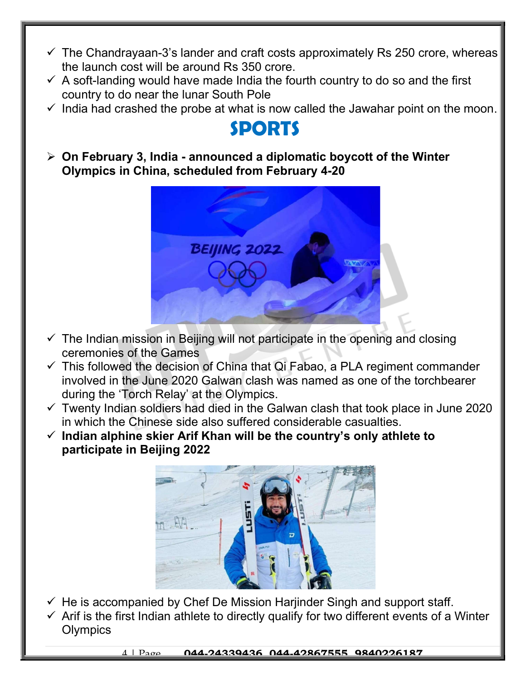- $\checkmark$  The Chandrayaan-3's lander and craft costs approximately Rs 250 crore, whereas the launch cost will be around Rs 350 crore.
- $\checkmark$  A soft-landing would have made India the fourth country to do so and the first country to do near the lunar South Pole
- $\checkmark$  India had crashed the probe at what is now called the Jawahar point on the moon.

## SPORTS

 $\triangleright$  On February 3, India - announced a diplomatic boycott of the Winter Olympics in China, scheduled from February 4-20



- $\checkmark$  The Indian mission in Beijing will not participate in the opening and closing ceremonies of the Games
- $\checkmark$  This followed the decision of China that Qi Fabao, a PLA regiment commander involved in the June 2020 Galwan clash was named as one of the torchbearer during the 'Torch Relay' at the Olympics.
- $\checkmark$  Twenty Indian soldiers had died in the Galwan clash that took place in June 2020 in which the Chinese side also suffered considerable casualties.
- $\checkmark$  Indian alphine skier Arif Khan will be the country's only athlete to participate in Beijing 2022



- $\checkmark$  He is accompanied by Chef De Mission Harjinder Singh and support staff.
- $\checkmark$  Arif is the first Indian athlete to directly qualify for two different events of a Winter **Olympics**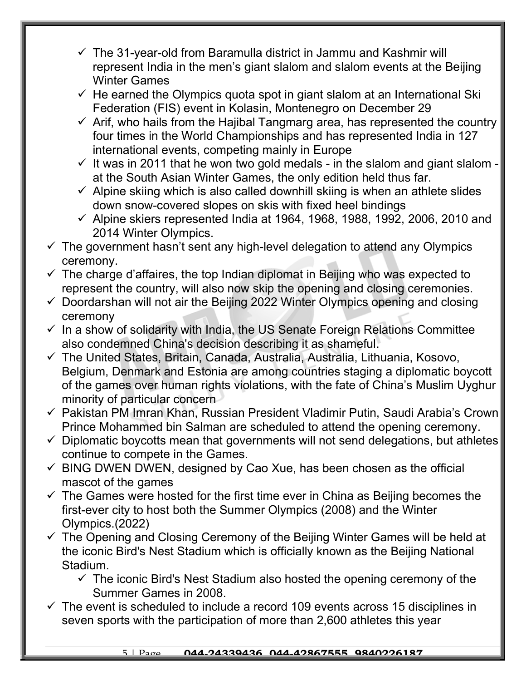- $\checkmark$  The 31-year-old from Baramulla district in Jammu and Kashmir will represent India in the men's giant slalom and slalom events at the Beijing Winter Games
- $\checkmark$  He earned the Olympics quota spot in giant slalom at an International Ski Federation (FIS) event in Kolasin, Montenegro on December 29
- $\checkmark$  Arif, who hails from the Hajibal Tangmarg area, has represented the country four times in the World Championships and has represented India in 127 international events, competing mainly in Europe
- $\checkmark$  It was in 2011 that he won two gold medals in the slalom and giant slalom at the South Asian Winter Games, the only edition held thus far.
- $\checkmark$  Alpine skiing which is also called downhill skiing is when an athlete slides down snow-covered slopes on skis with fixed heel bindings
- $\checkmark$  Alpine skiers represented India at 1964, 1968, 1988, 1992, 2006, 2010 and 2014 Winter Olympics.
- $\checkmark$  The government hasn't sent any high-level delegation to attend any Olympics ceremony.
- $\checkmark$  The charge d'affaires, the top Indian diplomat in Beijing who was expected to represent the country, will also now skip the opening and closing ceremonies.
- $\checkmark$  Doordarshan will not air the Beijing 2022 Winter Olympics opening and closing ceremony
- $\checkmark$  In a show of solidarity with India, the US Senate Foreign Relations Committee also condemned China's decision describing it as shameful.
- The United States, Britain, Canada, Australia, Australia, Lithuania, Kosovo, Belgium, Denmark and Estonia are among countries staging a diplomatic boycott of the games over human rights violations, with the fate of China's Muslim Uyghur minority of particular concern
- Pakistan PM Imran Khan, Russian President Vladimir Putin, Saudi Arabia's Crown Prince Mohammed bin Salman are scheduled to attend the opening ceremony.
- $\checkmark$  Diplomatic boycotts mean that governments will not send delegations, but athletes continue to compete in the Games.
- $\checkmark$  BING DWEN DWEN, designed by Cao Xue, has been chosen as the official mascot of the games
- $\checkmark$  The Games were hosted for the first time ever in China as Beijing becomes the first-ever city to host both the Summer Olympics (2008) and the Winter Olympics.(2022)
- $\checkmark$  The Opening and Closing Ceremony of the Beijing Winter Games will be held at the iconic Bird's Nest Stadium which is officially known as the Beijing National Stadium.
	- $\checkmark$  The iconic Bird's Nest Stadium also hosted the opening ceremony of the Summer Games in 2008.
- $\checkmark$  The event is scheduled to include a record 109 events across 15 disciplines in seven sports with the participation of more than 2,600 athletes this year